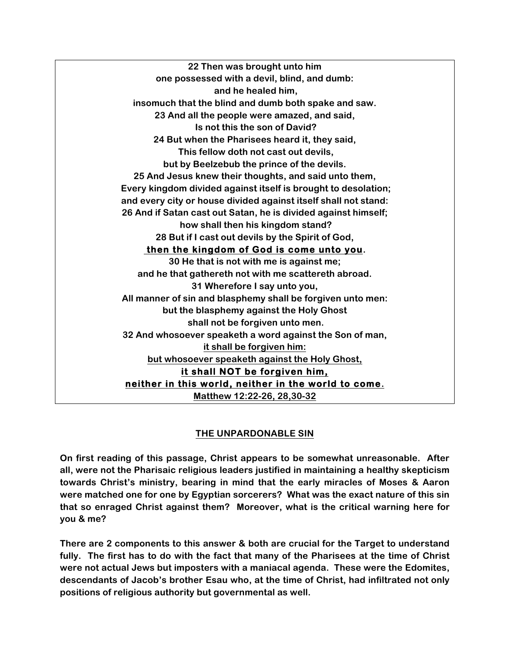**22 Then was brought unto him one possessed with a devil, blind, and dumb: and he healed him, insomuch that the blind and dumb both spake and saw. 23 And all the people were amazed, and said, Is not this the son of David? 24 But when the Pharisees heard it, they said, This fellow doth not cast out devils, but by Beelzebub the prince of the devils. 25 And Jesus knew their thoughts, and said unto them, Every kingdom divided against itself is brought to desolation; and every city or house divided against itself shall not stand: 26 And if Satan cast out Satan, he is divided against himself; how shall then his kingdom stand? 28 But if I cast out devils by the Spirit of God, then the kingdom of God is come unto you. 30 He that is not with me is against me; and he that gathereth not with me scattereth abroad. 31 Wherefore I say unto you, All manner of sin and blasphemy shall be forgiven unto men: but the blasphemy against the Holy Ghost shall not be forgiven unto men. 32 And whosoever speaketh a word against the Son of man, it shall be forgiven him: but whosoever speaketh against the Holy Ghost, it shall NOT be forgiven him, neither in this world, neither in the world to come. Matthew 12:22-26, 28,30-32**

#### **THE UNPARDONABLE SIN**

**On first reading of this passage, Christ appears to be somewhat unreasonable. After all, were not the Pharisaic religious leaders justified in maintaining a healthy skepticism towards Christ's ministry, bearing in mind that the early miracles of Moses & Aaron were matched one for one by Egyptian sorcerers? What was the exact nature of this sin that so enraged Christ against them? Moreover, what is the critical warning here for you & me?** 

**There are 2 components to this answer & both are crucial for the Target to understand fully. The first has to do with the fact that many of the Pharisees at the time of Christ were not actual Jews but imposters with a maniacal agenda. These were the Edomites, descendants of Jacob's brother Esau who, at the time of Christ, had infiltrated not only positions of religious authority but governmental as well.**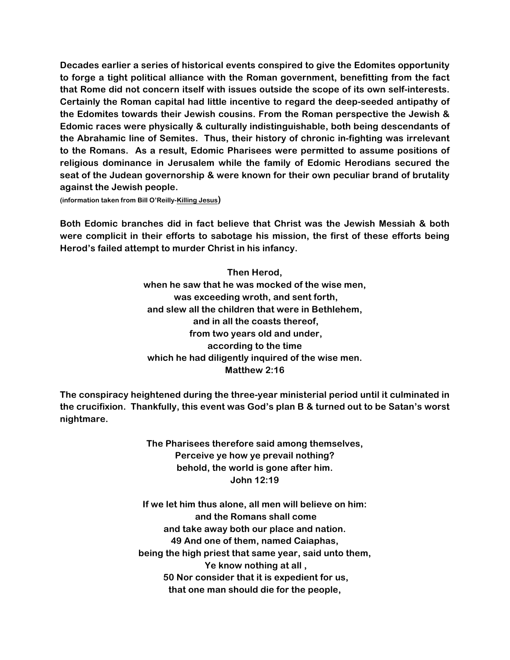**Decades earlier a series of historical events conspired to give the Edomites opportunity to forge a tight political alliance with the Roman government, benefitting from the fact that Rome did not concern itself with issues outside the scope of its own self-interests. Certainly the Roman capital had little incentive to regard the deep-seeded antipathy of the Edomites towards their Jewish cousins. From the Roman perspective the Jewish & Edomic races were physically & culturally indistinguishable, both being descendants of the Abrahamic line of Semites. Thus, their history of chronic in-fighting was irrelevant to the Romans. As a result, Edomic Pharisees were permitted to assume positions of religious dominance in Jerusalem while the family of Edomic Herodians secured the seat of the Judean governorship & were known for their own peculiar brand of brutality against the Jewish people.** 

**(information taken from Bill O'Reilly-Killing Jesus)** 

**Both Edomic branches did in fact believe that Christ was the Jewish Messiah & both were complicit in their efforts to sabotage his mission, the first of these efforts being Herod's failed attempt to murder Christ in his infancy.**

> **Then Herod, when he saw that he was mocked of the wise men, was exceeding wroth, and sent forth, and slew all the children that were in Bethlehem, and in all the coasts thereof, from two years old and under, according to the time which he had diligently inquired of the wise men. Matthew 2:16**

**The conspiracy heightened during the three-year ministerial period until it culminated in the crucifixion. Thankfully, this event was God's plan B & turned out to be Satan's worst nightmare.**

> **The Pharisees therefore said among themselves, Perceive ye how ye prevail nothing? behold, the world is gone after him. John 12:19**

**If we let him thus alone, all men will believe on him: and the Romans shall come and take away both our place and nation. 49 And one of them, named Caiaphas, being the high priest that same year, said unto them, Ye know nothing at all , 50 Nor consider that it is expedient for us, that one man should die for the people,**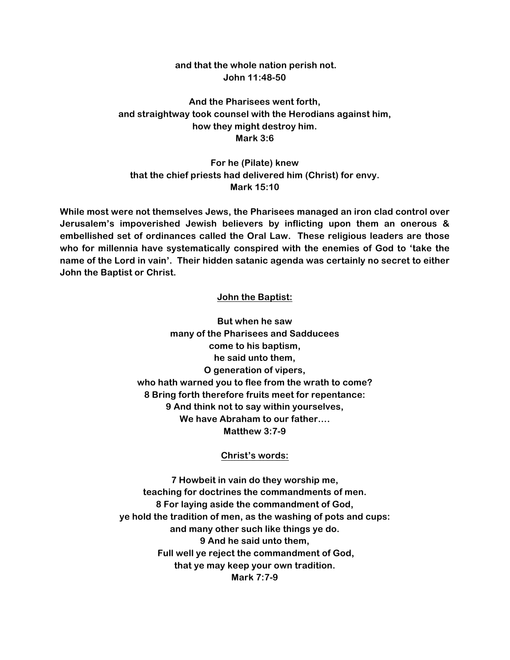#### **and that the whole nation perish not. John 11:48-50**

# **And the Pharisees went forth, and straightway took counsel with the Herodians against him, how they might destroy him. Mark 3:6**

## **For he (Pilate) knew that the chief priests had delivered him (Christ) for envy. Mark 15:10**

**While most were not themselves Jews, the Pharisees managed an iron clad control over Jerusalem's impoverished Jewish believers by inflicting upon them an onerous & embellished set of ordinances called the Oral Law. These religious leaders are those who for millennia have systematically conspired with the enemies of God to 'take the name of the Lord in vain'. Their hidden satanic agenda was certainly no secret to either John the Baptist or Christ.** 

## **John the Baptist:**

**But when he saw many of the Pharisees and Sadducees come to his baptism, he said unto them, O generation of vipers, who hath warned you to flee from the wrath to come? 8 Bring forth therefore fruits meet for repentance: 9 And think not to say within yourselves, We have Abraham to our father…. Matthew 3:7-9**

#### **Christ's words:**

**7 Howbeit in vain do they worship me, teaching for doctrines the commandments of men. 8 For laying aside the commandment of God, ye hold the tradition of men, as the washing of pots and cups: and many other such like things ye do. 9 And he said unto them, Full well ye reject the commandment of God, that ye may keep your own tradition. Mark 7:7-9**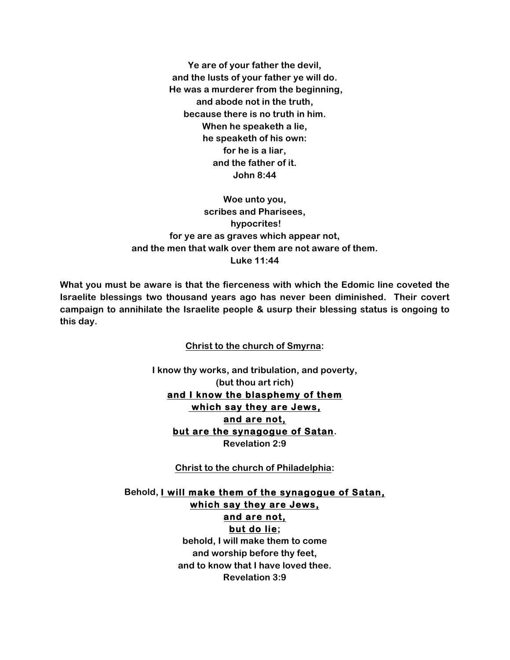**Ye are of your father the devil, and the lusts of your father ye will do. He was a murderer from the beginning, and abode not in the truth, because there is no truth in him. When he speaketh a lie, he speaketh of his own: for he is a liar, and the father of it. John 8:44**

**Woe unto you, scribes and Pharisees, hypocrites! for ye are as graves which appear not, and the men that walk over them are not aware of them. Luke 11:44**

**What you must be aware is that the fierceness with which the Edomic line coveted the Israelite blessings two thousand years ago has never been diminished. Their covert campaign to annihilate the Israelite people & usurp their blessing status is ongoing to this day.** 

**Christ to the church of Smyrna:**

**I know thy works, and tribulation, and poverty, (but thou art rich) and I know the blasphemy of them which say they are Jews, and are not, but are the synagogue of Satan. Revelation 2:9**

**Christ to the church of Philadelphia:**

**Behold, I will make them of the synagogue of Satan, which say they are Jews, and are not, but do lie; behold, I will make them to come and worship before thy feet, and to know that I have loved thee. Revelation 3:9**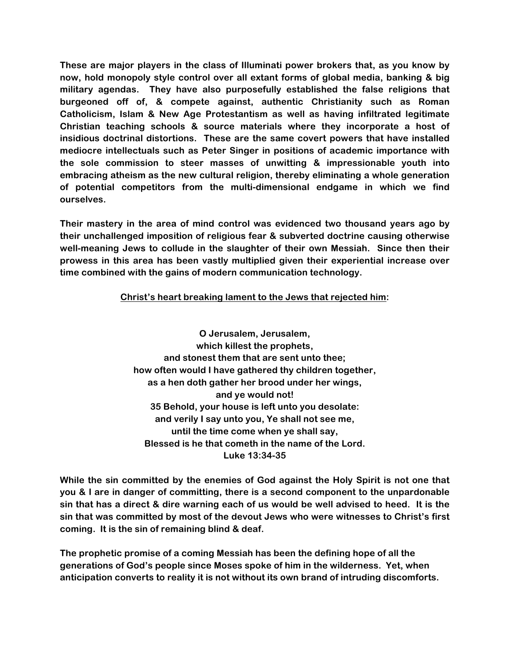**These are major players in the class of Illuminati power brokers that, as you know by now, hold monopoly style control over all extant forms of global media, banking & big military agendas. They have also purposefully established the false religions that burgeoned off of, & compete against, authentic Christianity such as Roman Catholicism, Islam & New Age Protestantism as well as having infiltrated legitimate Christian teaching schools & source materials where they incorporate a host of insidious doctrinal distortions. These are the same covert powers that have installed mediocre intellectuals such as Peter Singer in positions of academic importance with the sole commission to steer masses of unwitting & impressionable youth into embracing atheism as the new cultural religion, thereby eliminating a whole generation of potential competitors from the multi-dimensional endgame in which we find ourselves.**

**Their mastery in the area of mind control was evidenced two thousand years ago by their unchallenged imposition of religious fear & subverted doctrine causing otherwise well-meaning Jews to collude in the slaughter of their own Messiah. Since then their prowess in this area has been vastly multiplied given their experiential increase over time combined with the gains of modern communication technology.**

## **Christ's heart breaking lament to the Jews that rejected him:**

**O Jerusalem, Jerusalem, which killest the prophets, and stonest them that are sent unto thee; how often would I have gathered thy children together, as a hen doth gather her brood under her wings, and ye would not! 35 Behold, your house is left unto you desolate: and verily I say unto you, Ye shall not see me, until the time come when ye shall say, Blessed is he that cometh in the name of the Lord. Luke 13:34-35**

**While the sin committed by the enemies of God against the Holy Spirit is not one that you & I are in danger of committing, there is a second component to the unpardonable sin that has a direct & dire warning each of us would be well advised to heed. It is the sin that was committed by most of the devout Jews who were witnesses to Christ's first coming. It is the sin of remaining blind & deaf.**

**The prophetic promise of a coming Messiah has been the defining hope of all the generations of God's people since Moses spoke of him in the wilderness. Yet, when anticipation converts to reality it is not without its own brand of intruding discomforts.**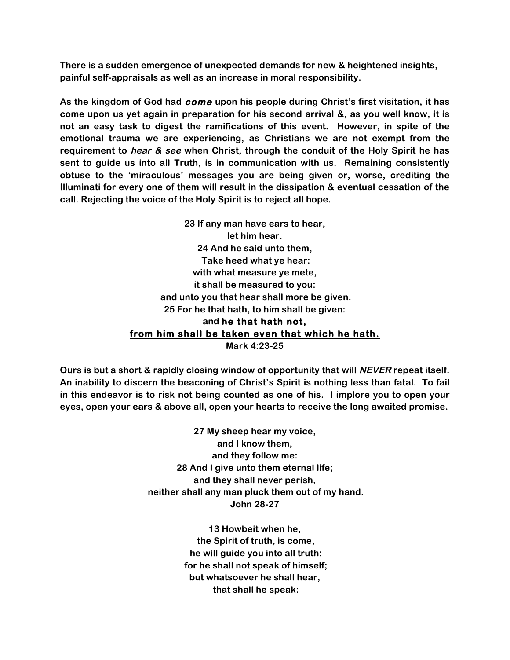**There is a sudden emergence of unexpected demands for new & heightened insights, painful self-appraisals as well as an increase in moral responsibility.** 

**As the kingdom of God had come upon his people during Christ's first visitation, it has come upon us yet again in preparation for his second arrival &, as you well know, it is not an easy task to digest the ramifications of this event. However, in spite of the emotional trauma we are experiencing, as Christians we are not exempt from the requirement to hear & see when Christ, through the conduit of the Holy Spirit he has sent to guide us into all Truth, is in communication with us. Remaining consistently obtuse to the 'miraculous' messages you are being given or, worse, crediting the Illuminati for every one of them will result in the dissipation & eventual cessation of the call. Rejecting the voice of the Holy Spirit is to reject all hope.**

> **23 If any man have ears to hear, let him hear. 24 And he said unto them, Take heed what ye hear: with what measure ye mete, it shall be measured to you: and unto you that hear shall more be given. 25 For he that hath, to him shall be given: and he that hath not,**

#### **from him shall be taken even that which he hath.**

**Mark 4:23-25**

**Ours is but a short & rapidly closing window of opportunity that will NEVER repeat itself. An inability to discern the beaconing of Christ's Spirit is nothing less than fatal. To fail in this endeavor is to risk not being counted as one of his. I implore you to open your eyes, open your ears & above all, open your hearts to receive the long awaited promise.**

> **27 My sheep hear my voice, and I know them, and they follow me: 28 And I give unto them eternal life; and they shall never perish, neither shall any man pluck them out of my hand. John 28-27**

> > **13 Howbeit when he, the Spirit of truth, is come, he will guide you into all truth: for he shall not speak of himself; but whatsoever he shall hear, that shall he speak:**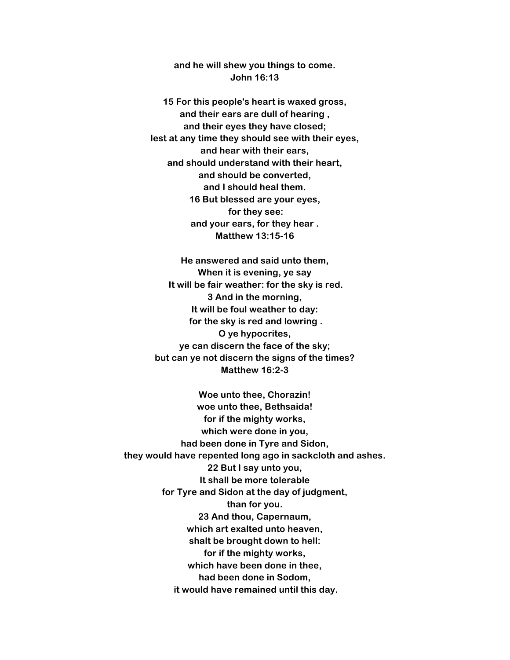**and he will shew you things to come. John 16:13**

**15 For this people's heart is waxed gross, and their ears are dull of hearing , and their eyes they have closed; lest at any time they should see with their eyes, and hear with their ears, and should understand with their heart, and should be converted, and I should heal them. 16 But blessed are your eyes, for they see: and your ears, for they hear . Matthew 13:15-16**

**He answered and said unto them, When it is evening, ye say It will be fair weather: for the sky is red. 3 And in the morning, It will be foul weather to day: for the sky is red and lowring . O ye hypocrites, ye can discern the face of the sky; but can ye not discern the signs of the times? Matthew 16:2-3**

**Woe unto thee, Chorazin! woe unto thee, Bethsaida! for if the mighty works, which were done in you, had been done in Tyre and Sidon, they would have repented long ago in sackcloth and ashes. 22 But I say unto you, It shall be more tolerable for Tyre and Sidon at the day of judgment, than for you. 23 And thou, Capernaum, which art exalted unto heaven, shalt be brought down to hell: for if the mighty works, which have been done in thee, had been done in Sodom, it would have remained until this day.**